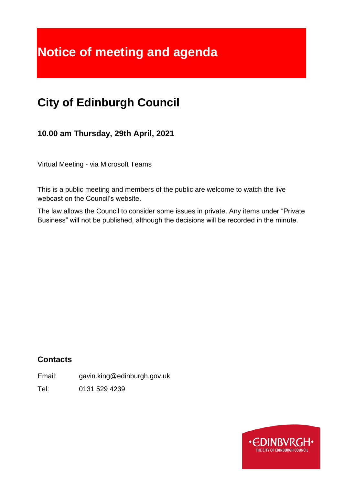# **Notice of meeting and agenda**

## **City of Edinburgh Council**

**10.00 am Thursday, 29th April, 2021**

Virtual Meeting - via Microsoft Teams

This is a public meeting and members of the public are welcome to watch the live webcast on the Council's website.

The law allows the Council to consider some issues in private. Any items under "Private Business" will not be published, although the decisions will be recorded in the minute.

## **Contacts**

Email: gavin.king@edinburgh.gov.uk

Tel: 0131 529 4239

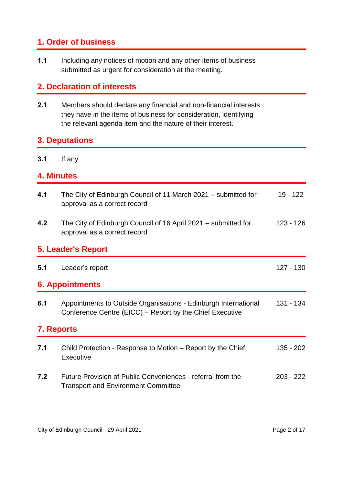## **1. Order of business**

**1.1** Including any notices of motion and any other items of business submitted as urgent for consideration at the meeting.

## **2. Declaration of interests**

**2.1** Members should declare any financial and non-financial interests they have in the items of business for consideration, identifying the relevant agenda item and the nature of their interest.

## **3. Deputations**

**3.1** If any

## **4. Minutes**

| 4.1                       | The City of Edinburgh Council of 11 March 2021 – submitted for<br>approval as a correct record                              | 19 - 122    |  |  |
|---------------------------|-----------------------------------------------------------------------------------------------------------------------------|-------------|--|--|
| 4.2                       | The City of Edinburgh Council of 16 April 2021 – submitted for<br>approval as a correct record                              | 123 - 126   |  |  |
| <b>5. Leader's Report</b> |                                                                                                                             |             |  |  |
| 5.1                       | Leader's report                                                                                                             | 127 - 130   |  |  |
| <b>6. Appointments</b>    |                                                                                                                             |             |  |  |
| 6.1                       | Appointments to Outside Organisations - Edinburgh International<br>Conference Centre (EICC) – Report by the Chief Executive | 131 - 134   |  |  |
| <b>7. Reports</b>         |                                                                                                                             |             |  |  |
| 7.1                       | Child Protection - Response to Motion – Report by the Chief<br>Executive                                                    | 135 - 202   |  |  |
| 7.2                       | Future Provision of Public Conveniences - referral from the<br><b>Transport and Environment Committee</b>                   | $203 - 222$ |  |  |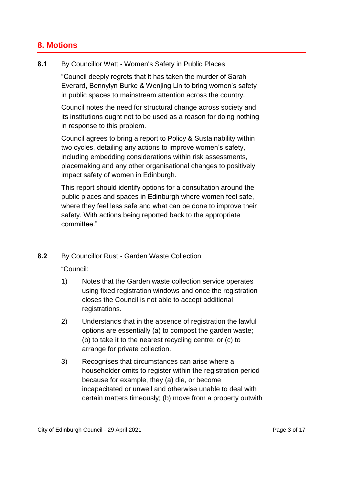## **8. Motions**

#### **8.1** By Councillor Watt - Women's Safety in Public Places

"Council deeply regrets that it has taken the murder of Sarah Everard, Bennylyn Burke & Wenjing Lin to bring women's safety in public spaces to mainstream attention across the country.

Council notes the need for structural change across society and its institutions ought not to be used as a reason for doing nothing in response to this problem.

Council agrees to bring a report to Policy & Sustainability within two cycles, detailing any actions to improve women's safety, including embedding considerations within risk assessments, placemaking and any other organisational changes to positively impact safety of women in Edinburgh.

This report should identify options for a consultation around the public places and spaces in Edinburgh where women feel safe, where they feel less safe and what can be done to improve their safety. With actions being reported back to the appropriate committee."

#### **8.2** By Councillor Rust - Garden Waste Collection

"Council:

- 1) Notes that the Garden waste collection service operates using fixed registration windows and once the registration closes the Council is not able to accept additional registrations.
- 2) Understands that in the absence of registration the lawful options are essentially (a) to compost the garden waste; (b) to take it to the nearest recycling centre; or (c) to arrange for private collection.
- 3) Recognises that circumstances can arise where a householder omits to register within the registration period because for example, they (a) die, or become incapacitated or unwell and otherwise unable to deal with certain matters timeously; (b) move from a property outwith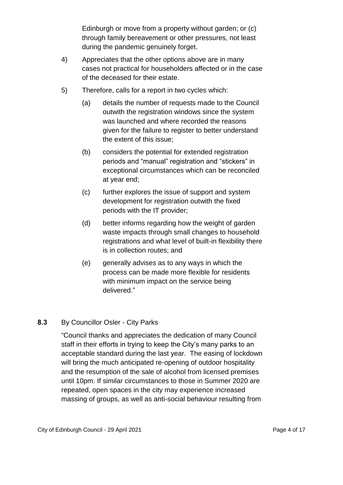Edinburgh or move from a property without garden; or (c) through family bereavement or other pressures, not least during the pandemic genuinely forget.

- 4) Appreciates that the other options above are in many cases not practical for householders affected or in the case of the deceased for their estate.
- 5) Therefore, calls for a report in two cycles which:
	- (a) details the number of requests made to the Council outwith the registration windows since the system was launched and where recorded the reasons given for the failure to register to better understand the extent of this issue;
	- (b) considers the potential for extended registration periods and "manual" registration and "stickers" in exceptional circumstances which can be reconciled at year end;
	- (c) further explores the issue of support and system development for registration outwith the fixed periods with the IT provider;
	- (d) better informs regarding how the weight of garden waste impacts through small changes to household registrations and what level of built-in flexibility there is in collection routes; and
	- (e) generally advises as to any ways in which the process can be made more flexible for residents with minimum impact on the service being delivered."

#### **8.3** By Councillor Osler - City Parks

"Council thanks and appreciates the dedication of many Council staff in their efforts in trying to keep the City's many parks to an acceptable standard during the last year. The easing of lockdown will bring the much anticipated re-opening of outdoor hospitality and the resumption of the sale of alcohol from licensed premises until 10pm. If similar circumstances to those in Summer 2020 are repeated, open spaces in the city may experience increased massing of groups, as well as anti-social behaviour resulting from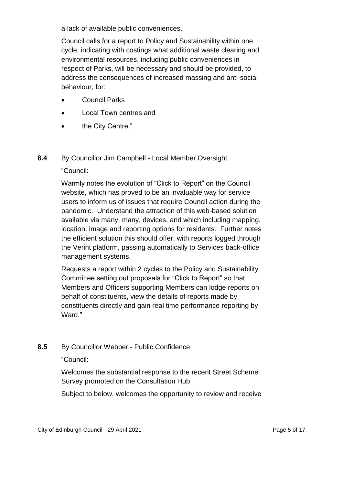a lack of available public conveniences.

Council calls for a report to Policy and Sustainability within one cycle, indicating with costings what additional waste clearing and environmental resources, including public conveniences in respect of Parks, will be necessary and should be provided, to address the consequences of increased massing and anti-social behaviour, for:

- Council Parks
- Local Town centres and
- the City Centre."

#### **8.4** By Councillor Jim Campbell - Local Member Oversight

#### "Council:

Warmly notes the evolution of "Click to Report" on the Council website, which has proved to be an invaluable way for service users to inform us of issues that require Council action during the pandemic. Understand the attraction of this web-based solution available via many, many, devices, and which including mapping, location, image and reporting options for residents. Further notes the efficient solution this should offer, with reports logged through the Verint platform, passing automatically to Services back-office management systems.

Requests a report within 2 cycles to the Policy and Sustainability Committee setting out proposals for "Click to Report" so that Members and Officers supporting Members can lodge reports on behalf of constituents, view the details of reports made by constituents directly and gain real time performance reporting by Ward."

#### **8.5** By Councillor Webber - Public Confidence

"Council:

Welcomes the substantial response to the recent Street Scheme Survey promoted on the Consultation Hub

Subject to below, welcomes the opportunity to review and receive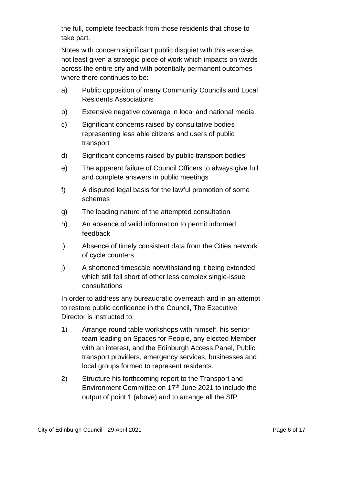the full, complete feedback from those residents that chose to take part.

Notes with concern significant public disquiet with this exercise, not least given a strategic piece of work which impacts on wards across the entire city and with potentially permanent outcomes where there continues to be:

- a) Public opposition of many Community Councils and Local Residents Associations
- b) Extensive negative coverage in local and national media
- c) Significant concerns raised by consultative bodies representing less able citizens and users of public transport
- d) Significant concerns raised by public transport bodies
- e) The apparent failure of Council Officers to always give full and complete answers in public meetings
- f) A disputed legal basis for the lawful promotion of some schemes
- g) The leading nature of the attempted consultation
- h) An absence of valid information to permit informed feedback
- i) Absence of timely consistent data from the Cities network of cycle counters
- j) A shortened timescale notwithstanding it being extended which still fell short of other less complex single-issue consultations

In order to address any bureaucratic overreach and in an attempt to restore public confidence in the Council, The Executive Director is instructed to:

- 1) Arrange round table workshops with himself, his senior team leading on Spaces for People, any elected Member with an interest, and the Edinburgh Access Panel, Public transport providers, emergency services, businesses and local groups formed to represent residents.
- 2) Structure his forthcoming report to the Transport and Environment Committee on 17<sup>th</sup> June 2021 to include the output of point 1 (above) and to arrange all the SfP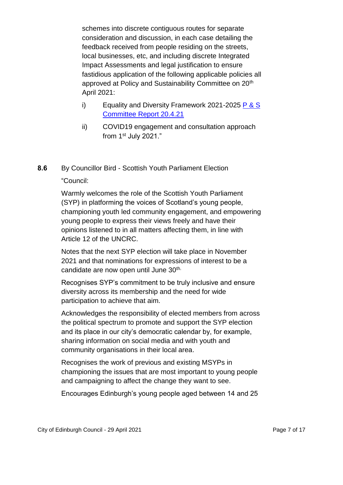schemes into discrete contiguous routes for separate consideration and discussion, in each case detailing the feedback received from people residing on the streets, local businesses, etc, and including discrete Integrated Impact Assessments and legal justification to ensure fastidious application of the following applicable policies all approved at Policy and Sustainability Committee on 20<sup>th</sup> April 2021:

- i) Equality and Diversity Framework 2021-2025 P & S [Committee Report 20.4.21](https://democracy.edinburgh.gov.uk/documents/s33238/Item%207.6%20-%20Equality%20and%20Diversity%20Framework%202021-2025.pdf)
- ii) COVID19 engagement and consultation approach from 1st July 2021."

**8.6** By Councillor Bird - Scottish Youth Parliament Election

#### "Council:

Warmly welcomes the role of the Scottish Youth Parliament (SYP) in platforming the voices of Scotland's young people, championing youth led community engagement, and empowering young people to express their views freely and have their opinions listened to in all matters affecting them, in line with Article 12 of the UNCRC.

Notes that the next SYP election will take place in November 2021 and that nominations for expressions of interest to be a candidate are now open until June 30<sup>th.</sup>

Recognises SYP's commitment to be truly inclusive and ensure diversity across its membership and the need for wide participation to achieve that aim.

Acknowledges the responsibility of elected members from across the political spectrum to promote and support the SYP election and its place in our city's democratic calendar by, for example, sharing information on social media and with youth and community organisations in their local area.

Recognises the work of previous and existing MSYPs in championing the issues that are most important to young people and campaigning to affect the change they want to see.

Encourages Edinburgh's young people aged between 14 and 25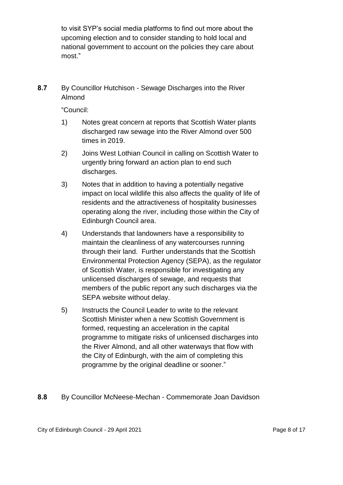to visit SYP's social media platforms to find out more about the upcoming election and to consider standing to hold local and national government to account on the policies they care about most."

**8.7** By Councillor Hutchison - Sewage Discharges into the River Almond

"Council:

- 1) Notes great concern at reports that Scottish Water plants discharged raw sewage into the River Almond over 500 times in 2019.
- 2) Joins West Lothian Council in calling on Scottish Water to urgently bring forward an action plan to end such discharges.
- 3) Notes that in addition to having a potentially negative impact on local wildlife this also affects the quality of life of residents and the attractiveness of hospitality businesses operating along the river, including those within the City of Edinburgh Council area.
- 4) Understands that landowners have a responsibility to maintain the cleanliness of any watercourses running through their land. Further understands that the Scottish Environmental Protection Agency (SEPA), as the regulator of Scottish Water, is responsible for investigating any unlicensed discharges of sewage, and requests that members of the public report any such discharges via the SEPA website without delay.
- 5) Instructs the Council Leader to write to the relevant Scottish Minister when a new Scottish Government is formed, requesting an acceleration in the capital programme to mitigate risks of unlicensed discharges into the River Almond, and all other waterways that flow with the City of Edinburgh, with the aim of completing this programme by the original deadline or sooner."
- **8.8** By Councillor McNeese-Mechan Commemorate Joan Davidson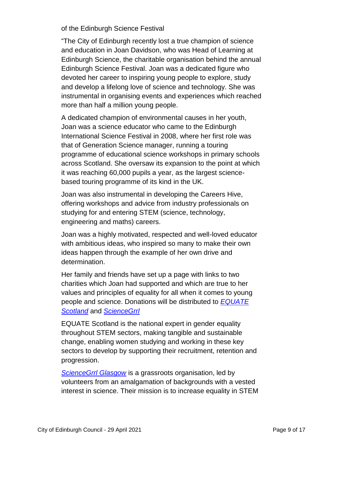of the Edinburgh Science Festival

"The City of Edinburgh recently lost a true champion of science and education in Joan Davidson, who was Head of Learning at Edinburgh Science, the charitable organisation behind the annual Edinburgh Science Festival. Joan was a dedicated figure who devoted her career to inspiring young people to explore, study and develop a lifelong love of science and technology. She was instrumental in organising events and experiences which reached more than half a million young people.

A dedicated champion of environmental causes in her youth, Joan was a science educator who came to the Edinburgh International Science Festival in 2008, where her first role was that of Generation Science manager, running a touring programme of educational science workshops in primary schools across Scotland. She oversaw its expansion to the point at which it was reaching 60,000 pupils a year, as the largest sciencebased touring programme of its kind in the UK.

Joan was also instrumental in developing the Careers Hive, offering workshops and advice from industry professionals on studying for and entering STEM (science, technology, engineering and maths) careers.

Joan was a highly motivated, respected and well-loved educator with ambitious ideas, who inspired so many to make their own ideas happen through the example of her own drive and determination.

Her family and friends have set up a page with links to two charities which Joan had supported and which are true to her values and principles of equality for all when it comes to young people and science. Donations will be distributed to *[EQUATE](https://equatescotland.org.uk/)  [Scotland](https://equatescotland.org.uk/)* and *[ScienceGrrl](https://sciencegrrl.co.uk/)*

EQUATE Scotland is the national expert in gender equality throughout STEM sectors, making tangible and sustainable change, enabling women studying and working in these key sectors to develop by supporting their recruitment, retention and progression.

*[ScienceGrrl Glasgow](https://sciencegrrlglasgow.com/)* is a grassroots organisation, led by volunteers from an amalgamation of backgrounds with a vested interest in science. Their mission is to increase equality in STEM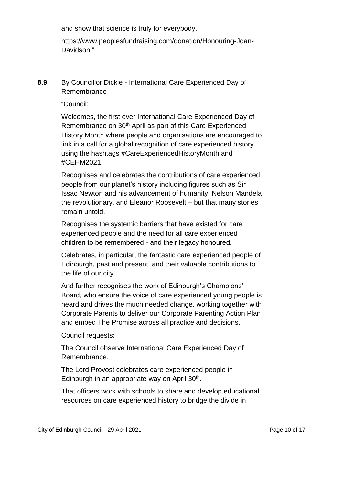and show that science is truly for everybody.

https://www.peoplesfundraising.com/donation/Honouring-Joan-Davidson."

**8.9** By Councillor Dickie - International Care Experienced Day of Remembrance

"Council:

Welcomes, the first ever International Care Experienced Day of Remembrance on 30th April as part of this Care Experienced History Month where people and organisations are encouraged to link in a call for a global recognition of care experienced history using the hashtags #CareExperiencedHistoryMonth and #CEHM2021.

Recognises and celebrates the contributions of care experienced people from our planet's history including figures such as Sir Issac Newton and his advancement of humanity, Nelson Mandela the revolutionary, and Eleanor Roosevelt – but that many stories remain untold.

Recognises the systemic barriers that have existed for care experienced people and the need for all care experienced children to be remembered - and their legacy honoured.

Celebrates, in particular, the fantastic care experienced people of Edinburgh, past and present, and their valuable contributions to the life of our city.

And further recognises the work of Edinburgh's Champions' Board, who ensure the voice of care experienced young people is heard and drives the much needed change, working together with Corporate Parents to deliver our Corporate Parenting Action Plan and embed The Promise across all practice and decisions.

Council requests:

The Council observe International Care Experienced Day of Remembrance.

The Lord Provost celebrates care experienced people in Edinburgh in an appropriate way on April 30<sup>th</sup>.

That officers work with schools to share and develop educational resources on care experienced history to bridge the divide in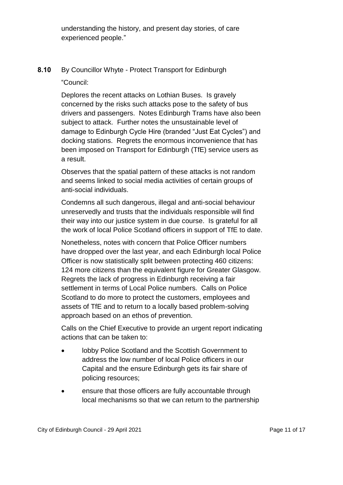understanding the history, and present day stories, of care experienced people."

**8.10** By Councillor Whyte - Protect Transport for Edinburgh

"Council:

Deplores the recent attacks on Lothian Buses. Is gravely concerned by the risks such attacks pose to the safety of bus drivers and passengers. Notes Edinburgh Trams have also been subject to attack. Further notes the unsustainable level of damage to Edinburgh Cycle Hire (branded "Just Eat Cycles") and docking stations. Regrets the enormous inconvenience that has been imposed on Transport for Edinburgh (TfE) service users as a result.

Observes that the spatial pattern of these attacks is not random and seems linked to social media activities of certain groups of anti-social individuals.

Condemns all such dangerous, illegal and anti-social behaviour unreservedly and trusts that the individuals responsible will find their way into our justice system in due course. Is grateful for all the work of local Police Scotland officers in support of TfE to date.

Nonetheless, notes with concern that Police Officer numbers have dropped over the last year, and each Edinburgh local Police Officer is now statistically split between protecting 460 citizens: 124 more citizens than the equivalent figure for Greater Glasgow. Regrets the lack of progress in Edinburgh receiving a fair settlement in terms of Local Police numbers. Calls on Police Scotland to do more to protect the customers, employees and assets of TfE and to return to a locally based problem-solving approach based on an ethos of prevention.

Calls on the Chief Executive to provide an urgent report indicating actions that can be taken to:

- lobby Police Scotland and the Scottish Government to address the low number of local Police officers in our Capital and the ensure Edinburgh gets its fair share of policing resources;
- ensure that those officers are fully accountable through local mechanisms so that we can return to the partnership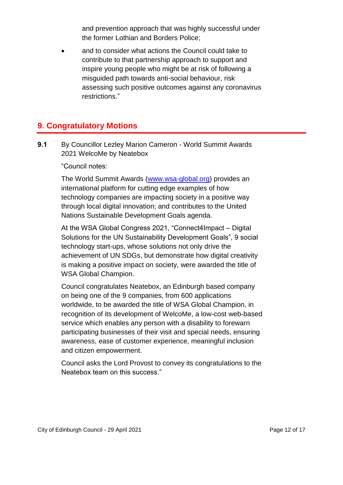and prevention approach that was highly successful under the former Lothian and Borders Police;

 and to consider what actions the Council could take to contribute to that partnership approach to support and inspire young people who might be at risk of following a misguided path towards anti-social behaviour, risk assessing such positive outcomes against any coronavirus restrictions."

## **9. Congratulatory Motions**

**9.1** By Councillor Lezley Marion Cameron - World Summit Awards 2021 WelcoMe by Neatebox

"Council notes:

The World Summit Awards [\(www.wsa-global.org\)](http://www.wsa-global.org/) provides an international platform for cutting edge examples of how technology companies are impacting society in a positive way through local digital innovation; and contributes to the United Nations Sustainable Development Goals agenda.

At the WSA Global Congress 2021, "Connect4Impact – Digital Solutions for the UN Sustainability Development Goals", 9 social technology start-ups, whose solutions not only drive the achievement of UN SDGs, but demonstrate how digital creativity is making a positive impact on society, were awarded the title of WSA Global Champion.

Council congratulates Neatebox, an Edinburgh based company on being one of the 9 companies, from 600 applications worldwide, to be awarded the title of WSA Global Champion, in recognition of its development of WelcoMe, a low-cost web-based service which enables any person with a disability to forewarn participating businesses of their visit and special needs, ensuring awareness, ease of customer experience, meaningful inclusion and citizen empowerment.

Council asks the Lord Provost to convey its congratulations to the Neatebox team on this success."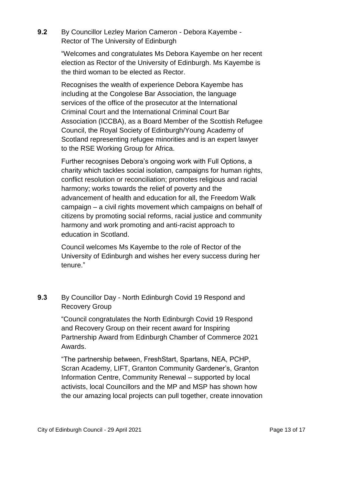**9.2** By Councillor Lezley Marion Cameron - Debora Kayembe - Rector of The University of Edinburgh

> "Welcomes and congratulates Ms Debora Kayembe on her recent election as Rector of the University of Edinburgh. Ms Kayembe is the third woman to be elected as Rector.

> Recognises the wealth of experience Debora Kayembe has including at the Congolese Bar Association, the language services of the office of the prosecutor at the International Criminal Court and the International Criminal Court Bar Association (ICCBA), as a Board Member of the Scottish Refugee Council, the Royal Society of Edinburgh/Young Academy of Scotland representing refugee minorities and is an expert lawyer to the RSE Working Group for Africa.

> Further recognises Debora's ongoing work with Full Options, a charity which tackles social isolation, campaigns for human rights, conflict resolution or reconciliation; promotes religious and racial harmony; works towards the relief of poverty and the advancement of health and education for all, the Freedom Walk campaign – a civil rights movement which campaigns on behalf of citizens by promoting social reforms, racial justice and community harmony and work promoting and anti-racist approach to education in Scotland.

Council welcomes Ms Kayembe to the role of Rector of the University of Edinburgh and wishes her every success during her tenure."

### **9.3** By Councillor Day - North Edinburgh Covid 19 Respond and Recovery Group

"Council congratulates the North Edinburgh Covid 19 Respond and Recovery Group on their recent award for Inspiring Partnership Award from Edinburgh Chamber of Commerce 2021 Awards.

"The partnership between, FreshStart, Spartans, NEA, PCHP, Scran Academy, LIFT, Granton Community Gardener's, Granton Information Centre, Community Renewal – supported by local activists, local Councillors and the MP and MSP has shown how the our amazing local projects can pull together, create innovation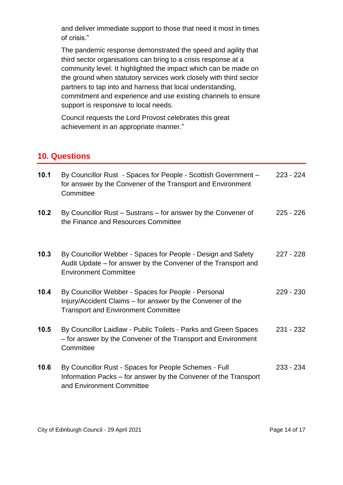and deliver immediate support to those that need it most in times of crisis."

The pandemic response demonstrated the speed and agility that third sector organisations can bring to a crisis response at a community level. It highlighted the impact which can be made on the ground when statutory services work closely with third sector partners to tap into and harness that local understanding, commitment and experience and use existing channels to ensure support is responsive to local needs.

Council requests the Lord Provost celebrates this great achievement in an appropriate manner."

## **10. Questions**

| 10.1 | By Councillor Rust - Spaces for People - Scottish Government -<br>for answer by the Convener of the Transport and Environment<br>Committee                      | $223 - 224$ |
|------|-----------------------------------------------------------------------------------------------------------------------------------------------------------------|-------------|
| 10.2 | By Councillor Rust – Sustrans – for answer by the Convener of<br>the Finance and Resources Committee                                                            | $225 - 226$ |
| 10.3 | By Councillor Webber - Spaces for People - Design and Safety<br>Audit Update – for answer by the Convener of the Transport and<br><b>Environment Committee</b>  | $227 - 228$ |
| 10.4 | By Councillor Webber - Spaces for People - Personal<br>Injury/Accident Claims – for answer by the Convener of the<br><b>Transport and Environment Committee</b> | $229 - 230$ |
| 10.5 | By Councillor Laidlaw - Public Toilets - Parks and Green Spaces<br>- for answer by the Convener of the Transport and Environment<br>Committee                   | $231 - 232$ |
| 10.6 | By Councillor Rust - Spaces for People Schemes - Full<br>Information Packs – for answer by the Convener of the Transport<br>and Environment Committee           | $233 - 234$ |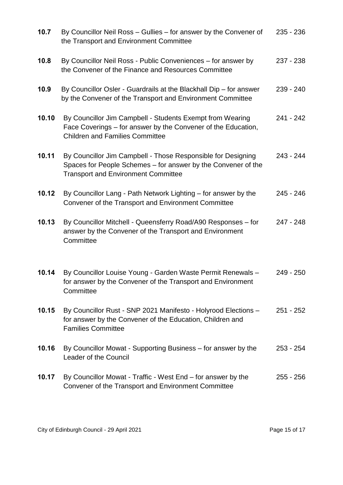| 10.7  | By Councillor Neil Ross - Gullies - for answer by the Convener of<br>the Transport and Environment Committee                                                                | 235 - 236   |
|-------|-----------------------------------------------------------------------------------------------------------------------------------------------------------------------------|-------------|
| 10.8  | By Councillor Neil Ross - Public Conveniences – for answer by<br>the Convener of the Finance and Resources Committee                                                        | 237 - 238   |
| 10.9  | By Councillor Osler - Guardrails at the Blackhall Dip – for answer<br>by the Convener of the Transport and Environment Committee                                            | 239 - 240   |
| 10.10 | By Councillor Jim Campbell - Students Exempt from Wearing<br>Face Coverings – for answer by the Convener of the Education,<br><b>Children and Families Committee</b>        | 241 - 242   |
| 10.11 | By Councillor Jim Campbell - Those Responsible for Designing<br>Spaces for People Schemes – for answer by the Convener of the<br><b>Transport and Environment Committee</b> | 243 - 244   |
| 10.12 | By Councillor Lang - Path Network Lighting - for answer by the<br>Convener of the Transport and Environment Committee                                                       | 245 - 246   |
| 10.13 | By Councillor Mitchell - Queensferry Road/A90 Responses - for<br>answer by the Convener of the Transport and Environment<br>Committee                                       | 247 - 248   |
| 10.14 | By Councillor Louise Young - Garden Waste Permit Renewals -<br>for answer by the Convener of the Transport and Environment<br>Committee                                     | $249 - 250$ |
| 10.15 | By Councillor Rust - SNP 2021 Manifesto - Holyrood Elections -<br>for answer by the Convener of the Education, Children and<br><b>Families Committee</b>                    | 251 - 252   |
| 10.16 | By Councillor Mowat - Supporting Business – for answer by the<br>Leader of the Council                                                                                      | $253 - 254$ |
| 10.17 | By Councillor Mowat - Traffic - West End – for answer by the<br>Convener of the Transport and Environment Committee                                                         | 255 - 256   |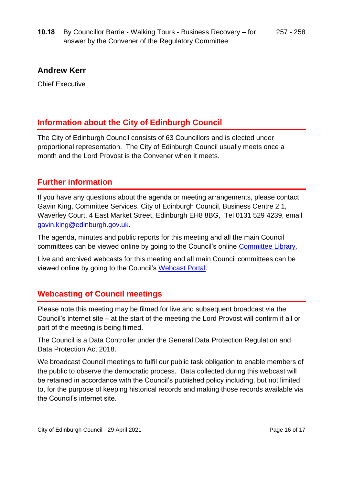**10.18** By Councillor Barrie - Walking Tours - Business Recovery – for answer by the Convener of the Regulatory Committee 257 - 258

#### **Andrew Kerr**

Chief Executive

## **Information about the City of Edinburgh Council**

The City of Edinburgh Council consists of 63 Councillors and is elected under proportional representation. The City of Edinburgh Council usually meets once a month and the Lord Provost is the Convener when it meets.

## **Further information**

If you have any questions about the agenda or meeting arrangements, please contact Gavin King, Committee Services, City of Edinburgh Council, Business Centre 2.1, Waverley Court, 4 East Market Street, Edinburgh EH8 8BG, Tel 0131 529 4239, email [gavin.king@edinburgh.gov.uk.](mailto:gavin.king@edinburgh.gov.uk)

The agenda, minutes and public reports for this meeting and all the main Council committees can be viewed online by going to the Council's online [Committee Library.](https://democracy.edinburgh.gov.uk/ieDocHome.aspx?bcr=1)

Live and archived webcasts for this meeting and all main Council committees can be viewed online by going to the Council's [Webcast Portal.](https://edinburgh.public-i.tv/core/portal/home)

## **Webcasting of Council meetings**

Please note this meeting may be filmed for live and subsequent broadcast via the Council's internet site – at the start of the meeting the Lord Provost will confirm if all or part of the meeting is being filmed.

The Council is a Data Controller under the General Data Protection Regulation and Data Protection Act 2018.

We broadcast Council meetings to fulfil our public task obligation to enable members of the public to observe the democratic process. Data collected during this webcast will be retained in accordance with the Council's published policy including, but not limited to, for the purpose of keeping historical records and making those records available via the Council's internet site.